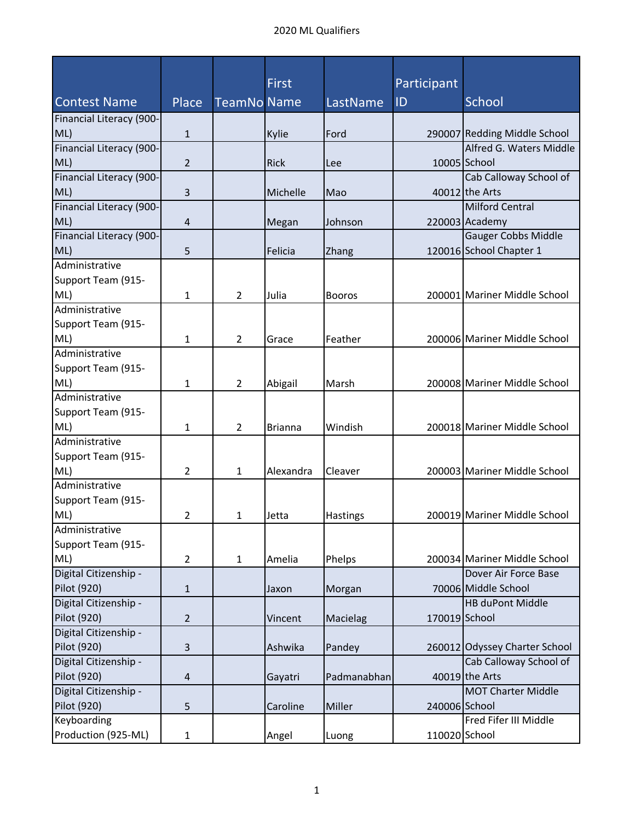|                                      |                |                    | <b>First</b>   |               | Participant   |                                          |
|--------------------------------------|----------------|--------------------|----------------|---------------|---------------|------------------------------------------|
| <b>Contest Name</b>                  | Place          | <b>TeamNo Name</b> |                | LastName      | ID            | <b>School</b>                            |
| Financial Literacy (900-             |                |                    |                |               |               |                                          |
| ML)                                  | $\mathbf{1}$   |                    | Kylie          | Ford          |               | 290007 Redding Middle School             |
| Financial Literacy (900-             |                |                    |                |               |               | Alfred G. Waters Middle                  |
| ML)                                  | 2              |                    | <b>Rick</b>    | Lee           |               | 10005 School                             |
| Financial Literacy (900-             |                |                    |                |               |               | Cab Calloway School of                   |
| ML)                                  | 3              |                    | Michelle       | Mao           |               | 40012 the Arts                           |
| Financial Literacy (900-             |                |                    |                |               |               | <b>Milford Central</b>                   |
| ML)                                  | 4              |                    | Megan          | Johnson       |               | 220003 Academy                           |
| Financial Literacy (900-             |                |                    |                |               |               | Gauger Cobbs Middle                      |
| ML)                                  | 5              |                    | Felicia        | Zhang         |               | 120016 School Chapter 1                  |
| Administrative                       |                |                    |                |               |               |                                          |
| Support Team (915-                   |                |                    |                |               |               |                                          |
| ML)                                  | 1              | $\overline{2}$     | Julia          | <b>Booros</b> |               | 200001 Mariner Middle School             |
| Administrative                       |                |                    |                |               |               |                                          |
| Support Team (915-                   |                |                    |                |               |               |                                          |
| ML)                                  | 1              | $\overline{2}$     | Grace          | Feather       |               | 200006 Mariner Middle School             |
| Administrative                       |                |                    |                |               |               |                                          |
| Support Team (915-                   |                |                    |                |               |               |                                          |
| ML)                                  | 1              | $\overline{2}$     | Abigail        | Marsh         |               | 200008 Mariner Middle School             |
| Administrative                       |                |                    |                |               |               |                                          |
| Support Team (915-                   |                |                    |                |               |               |                                          |
| ML)                                  | 1              | $\overline{2}$     | <b>Brianna</b> | Windish       |               | 200018 Mariner Middle School             |
| Administrative                       |                |                    |                |               |               |                                          |
| Support Team (915-                   |                |                    |                |               |               |                                          |
| ML)                                  | 2              | 1                  | Alexandra      | Cleaver       |               | 200003 Mariner Middle School             |
| Administrative                       |                |                    |                |               |               |                                          |
| Support Team (915-                   |                |                    |                |               |               |                                          |
| ML)                                  | 2              | 1                  | Jetta          | Hastings      |               | 200019 Mariner Middle School             |
| Administrative                       |                |                    |                |               |               |                                          |
| Support Team (915-                   |                |                    |                |               |               |                                          |
| ML)                                  | $\overline{2}$ | $\mathbf{1}$       | Amelia         | Phelps        |               | 200034 Mariner Middle School             |
| Digital Citizenship -                |                |                    |                |               |               | Dover Air Force Base                     |
| Pilot (920)                          | $\mathbf{1}$   |                    | Jaxon          | Morgan        |               | 70006 Middle School                      |
| Digital Citizenship -                |                |                    |                |               |               | <b>HB duPont Middle</b>                  |
| Pilot (920)<br>Digital Citizenship - | $\overline{2}$ |                    | Vincent        | Macielag      | 170019 School |                                          |
| Pilot (920)                          |                |                    |                |               |               |                                          |
| Digital Citizenship -                | 3              |                    | Ashwika        | Pandey        |               | 260012 Odyssey Charter School            |
| Pilot (920)                          |                |                    |                | Padmanabhan   |               | Cab Calloway School of<br>40019 the Arts |
| Digital Citizenship -                | 4              |                    | Gayatri        |               |               | <b>MOT Charter Middle</b>                |
| Pilot (920)                          | 5              |                    | Caroline       | Miller        | 240006 School |                                          |
| Keyboarding                          |                |                    |                |               |               | Fred Fifer III Middle                    |
| Production (925-ML)                  | $\mathbf{1}$   |                    |                |               | 110020 School |                                          |
|                                      |                |                    | Angel          | Luong         |               |                                          |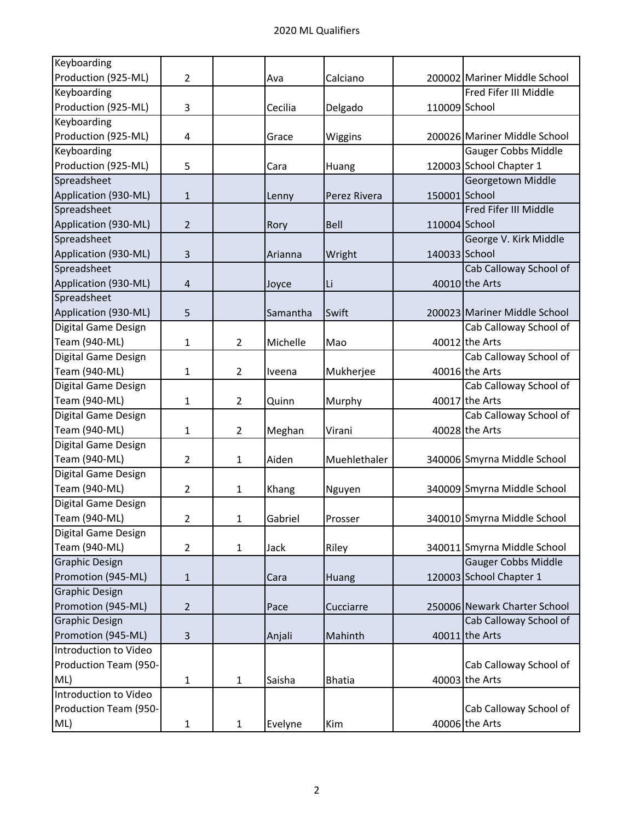| Keyboarding           |                |                |          |               |               |                              |
|-----------------------|----------------|----------------|----------|---------------|---------------|------------------------------|
| Production (925-ML)   | 2              |                | Ava      | Calciano      |               | 200002 Mariner Middle School |
| Keyboarding           |                |                |          |               |               | Fred Fifer III Middle        |
| Production (925-ML)   | 3              |                | Cecilia  | Delgado       | 110009 School |                              |
| Keyboarding           |                |                |          |               |               |                              |
| Production (925-ML)   | 4              |                | Grace    | Wiggins       |               | 200026 Mariner Middle School |
| Keyboarding           |                |                |          |               |               | <b>Gauger Cobbs Middle</b>   |
| Production (925-ML)   | 5              |                | Cara     | Huang         |               | 120003 School Chapter 1      |
| Spreadsheet           |                |                |          |               |               | Georgetown Middle            |
| Application (930-ML)  | 1              |                | Lenny    | Perez Rivera  | 150001 School |                              |
| Spreadsheet           |                |                |          |               |               | Fred Fifer III Middle        |
| Application (930-ML)  | $\overline{2}$ |                | Rory     | Bell          | 110004 School |                              |
| Spreadsheet           |                |                |          |               |               | George V. Kirk Middle        |
| Application (930-ML)  | 3              |                | Arianna  | Wright        | 140033 School |                              |
| Spreadsheet           |                |                |          |               |               | Cab Calloway School of       |
| Application (930-ML)  | 4              |                | Joyce    | Li            |               | 40010 the Arts               |
| Spreadsheet           |                |                |          |               |               |                              |
| Application (930-ML)  | 5              |                | Samantha | Swift         |               | 200023 Mariner Middle School |
| Digital Game Design   |                |                |          |               |               | Cab Calloway School of       |
| Team (940-ML)         | 1              | $\overline{2}$ | Michelle | Mao           |               | 40012 the Arts               |
| Digital Game Design   |                |                |          |               |               | Cab Calloway School of       |
| Team (940-ML)         | 1              | $\overline{2}$ | Iveena   | Mukherjee     |               | 40016 the Arts               |
| Digital Game Design   |                |                |          |               |               | Cab Calloway School of       |
| Team (940-ML)         | 1              | $\overline{2}$ | Quinn    | Murphy        |               | 40017 the Arts               |
| Digital Game Design   |                |                |          |               |               | Cab Calloway School of       |
| Team (940-ML)         | 1              | $\overline{2}$ | Meghan   | Virani        |               | 40028 the Arts               |
| Digital Game Design   |                |                |          |               |               |                              |
| Team (940-ML)         | $\overline{2}$ | $\mathbf{1}$   | Aiden    | Muehlethaler  |               | 340006 Smyrna Middle School  |
| Digital Game Design   |                |                |          |               |               |                              |
| Team (940-ML)         | 2              | $\mathbf{1}$   | Khang    | Nguyen        |               | 340009 Smyrna Middle School  |
| Digital Game Design   |                |                |          |               |               |                              |
| Team (940-ML)         | 2              | 1              | Gabriel  | Prosser       |               | 340010 Smyrna Middle School  |
| Digital Game Design   |                |                |          |               |               |                              |
| Team (940-ML)         | $\overline{2}$ | $\mathbf{1}$   | Jack     | Riley         |               | 340011 Smyrna Middle School  |
| <b>Graphic Design</b> |                |                |          |               |               | <b>Gauger Cobbs Middle</b>   |
| Promotion (945-ML)    | 1              |                | Cara     | Huang         |               | 120003 School Chapter 1      |
| <b>Graphic Design</b> |                |                |          |               |               |                              |
| Promotion (945-ML)    | $\overline{2}$ |                | Pace     | Cucciarre     |               | 250006 Newark Charter School |
| <b>Graphic Design</b> |                |                |          |               |               | Cab Calloway School of       |
| Promotion (945-ML)    | 3              |                | Anjali   | Mahinth       |               | 40011 the Arts               |
| Introduction to Video |                |                |          |               |               |                              |
| Production Team (950- |                |                |          |               |               | Cab Calloway School of       |
| ML)                   | 1              | $\mathbf{1}$   | Saisha   | <b>Bhatia</b> |               | 40003 the Arts               |
| Introduction to Video |                |                |          |               |               |                              |
| Production Team (950- |                |                |          |               |               | Cab Calloway School of       |
| ML)                   | $\mathbf{1}$   | $\mathbf{1}$   | Evelyne  | Kim           |               | 40006 the Arts               |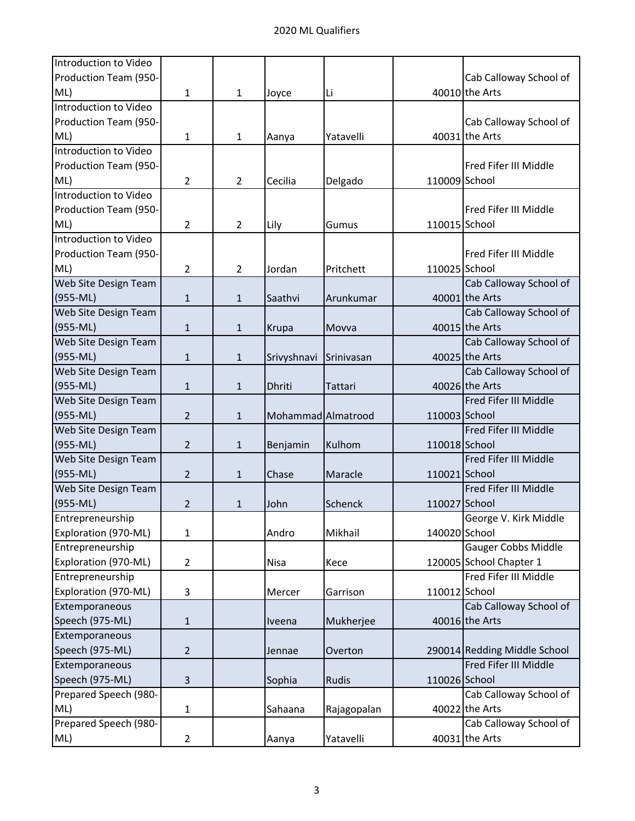| Introduction to Video |                |                |                    |             |               |                              |
|-----------------------|----------------|----------------|--------------------|-------------|---------------|------------------------------|
| Production Team (950- |                |                |                    |             |               | Cab Calloway School of       |
| ML)                   | 1              | $\mathbf{1}$   | Joyce              | Li          |               | 40010 the Arts               |
| Introduction to Video |                |                |                    |             |               |                              |
| Production Team (950- |                |                |                    |             |               | Cab Calloway School of       |
| ML)                   | 1              | $\mathbf{1}$   | Aanya              | Yatavelli   |               | 40031 the Arts               |
| Introduction to Video |                |                |                    |             |               |                              |
| Production Team (950- |                |                |                    |             |               | Fred Fifer III Middle        |
| ML)                   | 2              | $\overline{2}$ | Cecilia            | Delgado     | 110009 School |                              |
| Introduction to Video |                |                |                    |             |               |                              |
| Production Team (950- |                |                |                    |             |               | Fred Fifer III Middle        |
| ML)                   | 2              | $\overline{2}$ | Lily               | Gumus       | 110015 School |                              |
| Introduction to Video |                |                |                    |             |               |                              |
| Production Team (950- |                |                |                    |             |               | Fred Fifer III Middle        |
| ML)                   | 2              | $\overline{2}$ | Jordan             | Pritchett   | 110025 School |                              |
| Web Site Design Team  |                |                |                    |             |               | Cab Calloway School of       |
| $(955-ML)$            | $\mathbf{1}$   | $\mathbf{1}$   | Saathvi            | Arunkumar   |               | 40001 the Arts               |
| Web Site Design Team  |                |                |                    |             |               | Cab Calloway School of       |
| $(955-ML)$            | $\mathbf{1}$   | $\mathbf{1}$   | Krupa              | Movva       |               | 40015 the Arts               |
| Web Site Design Team  |                |                |                    |             |               | Cab Calloway School of       |
| $(955-ML)$            | $\mathbf{1}$   | $\mathbf{1}$   | Srivyshnavi        | Srinivasan  |               | 40025 the Arts               |
| Web Site Design Team  |                |                |                    |             |               | Cab Calloway School of       |
| $(955-ML)$            | $\mathbf{1}$   | $\mathbf{1}$   | <b>Dhriti</b>      | Tattari     |               | 40026 the Arts               |
| Web Site Design Team  |                |                |                    |             |               | Fred Fifer III Middle        |
| $(955-ML)$            | $\overline{2}$ | $\mathbf{1}$   | Mohammad Almatrood |             | 110003 School |                              |
| Web Site Design Team  |                |                |                    |             |               | Fred Fifer III Middle        |
| $(955-ML)$            | $\overline{2}$ | $\mathbf{1}$   | Benjamin           | Kulhom      | 110018 School |                              |
| Web Site Design Team  |                |                |                    |             |               | Fred Fifer III Middle        |
| $(955-ML)$            | $\overline{2}$ | 1              | Chase              | Maracle     | 110021 School |                              |
| Web Site Design Team  |                |                |                    |             |               | Fred Fifer III Middle        |
| $(955-ML)$            | $\overline{2}$ | 1              | John               | Schenck     | 110027 School |                              |
| Entrepreneurship      |                |                |                    |             |               | George V. Kirk Middle        |
| Exploration (970-ML)  | $\mathbf{1}$   |                | Andro              | Mikhail     | 140020 School |                              |
| Entrepreneurship      |                |                |                    |             |               | <b>Gauger Cobbs Middle</b>   |
| Exploration (970-ML)  | $\overline{2}$ |                | Nisa               | Kece        |               | 120005 School Chapter 1      |
| Entrepreneurship      |                |                |                    |             |               | Fred Fifer III Middle        |
| Exploration (970-ML)  | 3              |                | Mercer             | Garrison    | 110012 School |                              |
| Extemporaneous        |                |                |                    |             |               | Cab Calloway School of       |
| Speech (975-ML)       | $\mathbf{1}$   |                | Iveena             | Mukherjee   |               | 40016 the Arts               |
| Extemporaneous        |                |                |                    |             |               |                              |
| Speech (975-ML)       | $\overline{2}$ |                | Jennae             | Overton     |               | 290014 Redding Middle School |
| Extemporaneous        |                |                |                    |             |               | Fred Fifer III Middle        |
| Speech (975-ML)       | 3              |                | Sophia             | Rudis       | 110026 School |                              |
| Prepared Speech (980- |                |                |                    |             |               | Cab Calloway School of       |
| ML)                   | 1              |                | Sahaana            | Rajagopalan |               | 40022 the Arts               |
| Prepared Speech (980- |                |                |                    |             |               | Cab Calloway School of       |
| ML)                   | $\overline{2}$ |                | Aanya              | Yatavelli   |               | 40031 the Arts               |